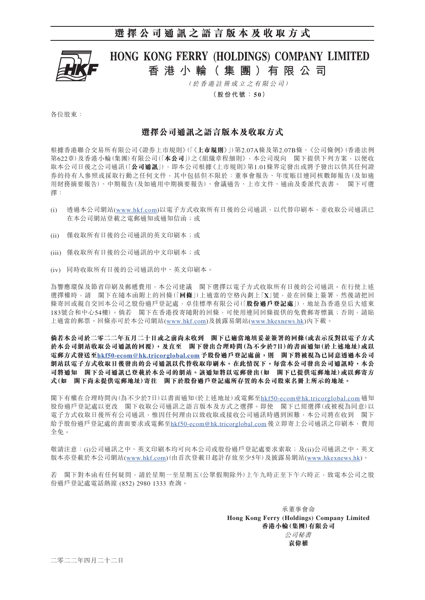## **選擇公司通訊之語言版本及收取方式**



# HONG KONG FERRY (HOLDINGS) COMPANY LIMITED **香 港 小 輪( 集 團 )有 限 公 司**

( 於 香 港 註 冊 成 立 之 有 限 公 司 )

**(股份代號: 5 0)**

各位股東:

### **選擇公司通訊之語言版本及收取方式**

根據香港聯合交易所有限公司《證券上市規則》(「《**上市規則**》」)第2.07A條及第2.07B條、《公司條例》(香港法例 第622章)及香港小輪(集團)有限公司(「**本公司**」)之《組織章程細則》,本公司現向 閣下提供下列方案,以便收 取本公司日後之公司通訊(「**公司通訊**」),即本公司根據《上市規則》第1.01條界定發出或將予發出以供其任何證 券的持有人參照或採取行動之任何文件,其中包括但不限於:董事會報告、年度賬目連同核數師報告(及如適 用財務摘要報告)、中期報告(及如適用中期摘要報告)、會議通告、上市文件、通函及委派代表書。 閣下可選 擇:

- (i) 透過本公司網站(www.hkf.com)以電子方式收取所有日後的公司通訊,以代替印刷本,並收取公司通訊已 在本公司網站登載之電郵通知或通知信函;或
- (ii) 僅收取所有日後的公司通訊的英文印刷本;或
- (iii) 僅收取所有日後的公司通訊的中文印刷本;或
- (iv) 同時收取所有日後的公司通訊的中、英文印刷本。

為響應環保及節省印刷及郵遞費用,本公司建議 閣下選擇以電子方式收取所有日後的公司通訊。在行使上述 選擇權時,請 閣下在隨本函附上的回條(「**回條**」)上適當的空格內劃上「**X**」號,並在回條上簽署,然後請把回 條寄回或親自交回本公司之股份過戶登記處,卓佳標準有限公司(「**股份過戶登記處**」),地址為香港皇后大道東 183號合和中心54樓)。倘若 閣下在香港投寄隨附的回條,可使用連同回條提供的免費郵寄標籤;否則,請貼 上適當的郵票。回條亦可於本公司網站(www.hkf.com)及披露易網站([www.hkexnews.hk](http://www.hkexnews.hk/index_c.htm))內下載。

**倘若本公司於二零二二年五月二十日或之前尚未收到 閣下已適當地填妥並簽署的回條(或表示反對以電子方式 於本公司網站收取公司通訊的回覆),及直至 閣下發出合理時間(為不少於7日)的書面通知(於上述地址)或以 電郵方式發送至hkf50-ecom@hk.tricorglobal.com 予股份過戶登記處前,則 閣下將被視為已同意透過本公司 網站以電子方式收取日後發出的公司通訊以代替收取印刷本。在此情況下,每當本公司發出公司通訊時,本公 司將通知 閣下公司通訊已登載於本公司的網站。該通知將以電郵發出(如 閣下已提供電郵地址)或以郵寄方 式(如 閣下尚未提供電郵地址)寄往 閣下於股份過戶登記處所存置的本公司股東名冊上所示的地址。**

閣下有權在合理時間內(為不少於7日)以書面通知(於上述地址)或電郵至hkf50-ecom@hk.tricorglobal.com 通知 股份過戶登記處以更改 閣下收取公司通訊之語言版本及方式之選擇。即使 閣下已經選擇(或被視為同意)以 電子方式收取日後所有公司通訊,惟因任何理由以致收取或接收公司通訊時遇到困難,本公司將在收到 閣下 給予股份過戶登記處的書面要求或電郵至hkf50-ecom@hk.tricorglobal.com 後立即寄上公司通訊之印刷本,費用 全免。

敬請注意:(i)公司通訊之中、英文印刷本均可向本公司或股份過戶登記處要求索取;及(ii)公司通訊之中、英文 版本亦登載於本公司網站(www.hkf.com)(由首次登載日起計存放至少5年)及披露易網站[\(www.hkexnews.hk\)](http://www.hkexnews.hk/index_c.htm)。

若 閣下對本函有任何疑問,請於星期一至星期五(公眾假期除外)上午九時正至下午六時正,致電本公司之股 份過戶登記處電話熱線 (852) 2980 1333 查詢。

> 承董事會命 **Hong Kong Ferry (Holdings) Company Limited 香港小輪(集團)有限公司** 公司秘書 **袁偉權**

二零二二年四月二十二日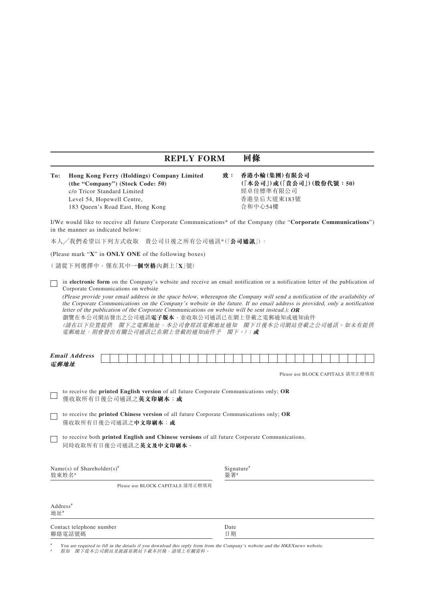### **REPLY FORM 回條**

**To: Hong Kong Ferry (Holdings) Company Limited (the "Company") (Stock Code: 50)** c/o Tricor Standard Limited Level 54, Hopewell Centre, 183 Queen's Road East, Hong Kong

**致: 香港小輪(集團)有限公司 (「本公司」)或(「貴公司」)(股份代號:50)** 經卓佳標準有限公司 香港皇后大道東183號 合和中心54樓

I/We would like to receive all future Corporate Communications\* of the Company (the "**Corporate Communications**") in the manner as indicated below:

本人╱我們希望以下列方式收取 貴公司日後之所有公司通訊\* (「**公司通訊**」):

(Please mark "**X**" in **ONLY ONE** of the following boxes)

( 請從下列選擇中,僅在其中**一個空格**內劃上「**X**」號)

in **electronic form** on the Company's website and receive an email notification or a notification letter of the publication of Corporate Communications on website

(Please provide your email address in the space below, whereupon the Company will send a notification of the availability of the Corporate Communications on the Company's website in the future. If no email address is provided, only a notification letter of the publication of the Corporate Communications on website will be sent instead.); **OR**

瀏覽在本公司網站發出之公司通訊**電子版本**,並收取公司通訊已在網上登載之電郵通知或通知函件

(請在以下位置提供 閣下之電郵地址,本公司會經該電郵地址通知 閣下日後本公司網站登載之公司通訊。如未有提供 電郵地址,則會發出有關公司通訊已在網上登載的通知函件予 閣下。);**或**

| <b>Email</b><br>. .<br>dress<br>$\boldsymbol{d}$ |  |  |  |  |  |  |  |  |  |  |  |  |  |  |  |  |
|--------------------------------------------------|--|--|--|--|--|--|--|--|--|--|--|--|--|--|--|--|
| 電郵地址                                             |  |  |  |  |  |  |  |  |  |  |  |  |  |  |  |  |

Please use BLOCK CAPITALS 請用正楷填寫

to receive the **printed English version** of all future Corporate Communications only; **OR** 僅收取所有日後公司通訊之**英文印刷本**;**或**

 to receive the **printed Chinese version** of all future Corporate Communications only; **OR** 僅收取所有日後公司通訊之**中文印刷本**;**或**

 to receive both **printed English and Chinese versions** of all future Corporate Communications. 同時收取所有日後公司通訊之**英文及中文印刷本**。

| Name(s) of Shareholder(s) <sup>#</sup><br>股東姓名# | $Signature$ <sup>#</sup><br>簽署# |
|-------------------------------------------------|---------------------------------|
| Please use BLOCK CAPITALS 請用正楷填寫                |                                 |
| $Address*$<br>地址#                               |                                 |

Contact telephone number<br>聯絡電話號碼 日期 聯絡電話號碼

# You are required to fill in the details if you download this reply form from the Company's website and the HKEXnews website.

# 假如 閣下從本公司網站及披露易網站下載本回條,請填上有關資料。